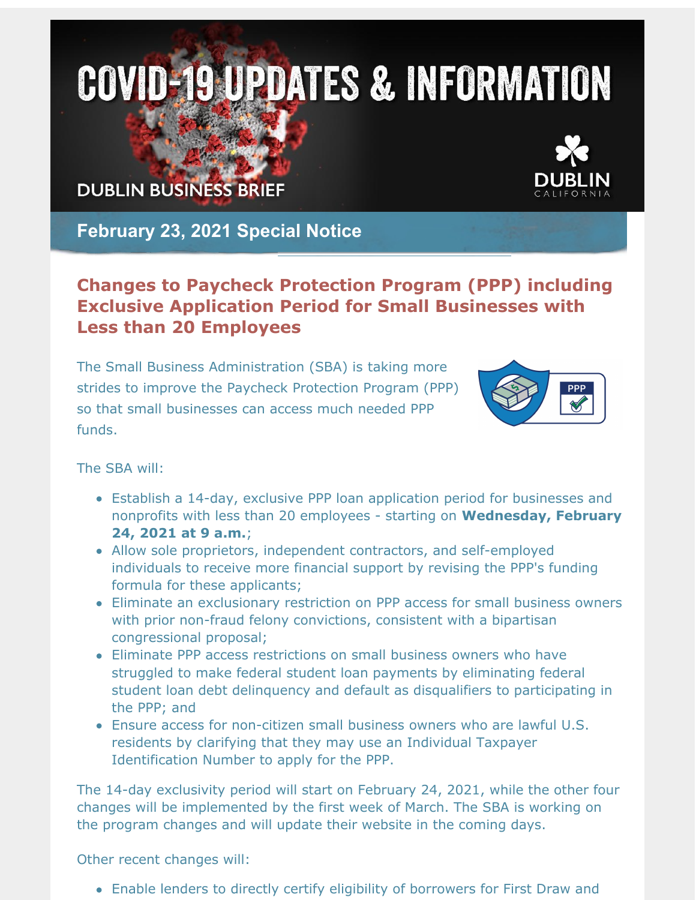# COVID=19 UPDATES & INFORMATION

**DUBLIN BUSINESS BRIEF** 

**February 23, 2021 Special Notice**

# **Changes to Paycheck Protection Program (PPP) including Exclusive Application Period for Small Businesses with Less than 20 Employees**

The Small Business Administration (SBA) is taking more strides to improve the Paycheck Protection Program (PPP) so that small businesses can access much needed PPP funds.



The SBA will:

- Establish a 14-day, exclusive PPP loan application period for businesses and nonprofits with less than 20 employees - starting on **Wednesday, February 24, 2021 at 9 a.m.**;
- Allow sole proprietors, independent contractors, and self-employed individuals to receive more financial support by revising the PPP's funding formula for these applicants;
- Eliminate an exclusionary restriction on PPP access for small business owners with prior non-fraud felony convictions, consistent with a bipartisan congressional proposal;
- Eliminate PPP access restrictions on small business owners who have struggled to make federal student loan payments by eliminating federal student loan debt delinquency and default as disqualifiers to participating in the PPP; and
- Ensure access for non-citizen small business owners who are lawful U.S. residents by clarifying that they may use an Individual Taxpayer Identification Number to apply for the PPP.

The 14-day exclusivity period will start on February 24, 2021, while the other four changes will be implemented by the first week of March. The SBA is working on the program changes and will update their website in the coming days.

Other recent changes will:

Enable lenders to directly certify eligibility of borrowers for First Draw and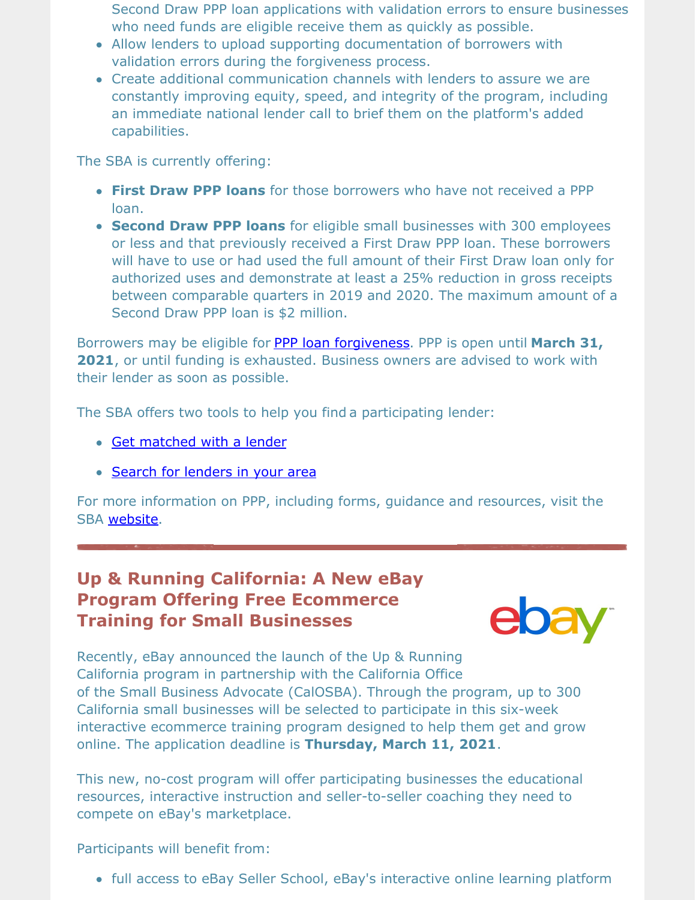Second Draw PPP loan applications with validation errors to ensure businesses who need funds are eligible receive them as quickly as possible.

- Allow lenders to upload supporting documentation of borrowers with validation errors during the forgiveness process.
- Create additional communication channels with lenders to assure we are constantly improving equity, speed, and integrity of the program, including an immediate national lender call to brief them on the platform's added capabilities.

The SBA is currently offering:

- **First Draw PPP loans** for those borrowers who have not received a PPP loan.
- **Second Draw PPP loans** for eligible small businesses with 300 employees or less and that previously received a First Draw PPP loan. These borrowers will have to use or had used the full amount of their First Draw loan only for authorized uses and demonstrate at least a 25% reduction in gross receipts between comparable quarters in 2019 and 2020. The maximum amount of a Second Draw PPP loan is \$2 million.

Borrowers may be eligible for PPP loan [forgiveness](http://r20.rs6.net/tn.jsp?f=00118yROVJaOJwt-V5upSt1leMsjwQJsd06yTYHyLuDpw5F5yaZmR0tv-fKXNAPsSDMBklTOWSPNq6E0TYKFFO1fd0QZmhgJFeBDx61huK04OOuzWxcMpp1cjHq0KxLJOtsI4-sawPJuNYHIx4GOpmP8fZVQNOy3bvc4To-8UmEOZuvY6boiRMQkJJPcc51IsY_lm4lXfEM9AzCn8pNNpc731UiIcEmepeLUAKYZxXYP69ffJ40VhlJB273ud15c5_odI5SORBigg4LkM5MgZ9rglWfdFp2Aj8r_aMBsa4FdHHDuR9UnZ5nHg==&c=&ch=). PPP is open until **March 31, 2021**, or until funding is exhausted. Business owners are advised to work with their lender as soon as possible.

The SBA offers two tools to help you find a participating lender:

- Get [matched](http://r20.rs6.net/tn.jsp?f=00118yROVJaOJwt-V5upSt1leMsjwQJsd06yTYHyLuDpw5F5yaZmR0tv-fKXNAPsSDM9D9lDhJk5gLnv_OBbgFAN5TdxHVigfaJL7Hl6fSkYPgEuWub0YPC6oBIovQgpMjwI78xpSYPIjdt9CdK3f8RR9yLqhUbsWqOKUZRCHnqguLHRf8GiG5J3OHxzZmcxe7iw2biH_yOMuAMo3sMxBisTgbeXHI_vFB7&c=&ch=) with a lender
- Search for [lenders](http://r20.rs6.net/tn.jsp?f=00118yROVJaOJwt-V5upSt1leMsjwQJsd06yTYHyLuDpw5F5yaZmR0tv4eUw-uu3rrXAAjATTBLu5IcvMNnrsoPs5tbzqusPiq4dV1MAaUCLd8GpEG5GLdV5TJcUe5m5XlgIFqn5_t60SflSou8RqHP3PTp-76P3vfp90M8uDR4qtP6cxUAP8QQliIme2Yvqt-y_41MtckLbS4=&c=&ch=) in your area

For more information on PPP, including forms, guidance and resources, visit the SBA [website](http://r20.rs6.net/tn.jsp?f=00118yROVJaOJwt-V5upSt1leMsjwQJsd06yTYHyLuDpw5F5yaZmR0tvz0HCZLA198NUvcyTXzctoRDNWS9oqs8pAC-13YMSP_1D9bRCQmO06iEDmBLi70WB8iEqECPibjjyAXJojUH6a0mvj8W-d1ssCGtHVGFUEx60a5vkWMKPAbE7vGGu8BDBxUR5r4ElsClfcW8pBVeHZ6LsJP_qFxxSyh9ip2dDbD9d99Ny5ITUDcKS8XXob7RxVL1szxcqYsY11F3YmE8vFP-8j5N1P36pQ==&c=&ch=).

# **Up & Running California: A New eBay Program Offering Free Ecommerce Training for Small Businesses**



Recently, eBay announced the launch of the Up & Running California program in partnership with the California Office of the Small Business Advocate (CalOSBA). Through the program, up to 300 California small businesses will be selected to participate in this six-week interactive ecommerce training program designed to help them get and grow online. The application deadline is **Thursday, March 11, 2021**.

This new, no-cost program will offer participating businesses the educational resources, interactive instruction and seller-to-seller coaching they need to compete on eBay's marketplace.

Participants will benefit from:

• full access to eBay Seller School, eBay's interactive online learning platform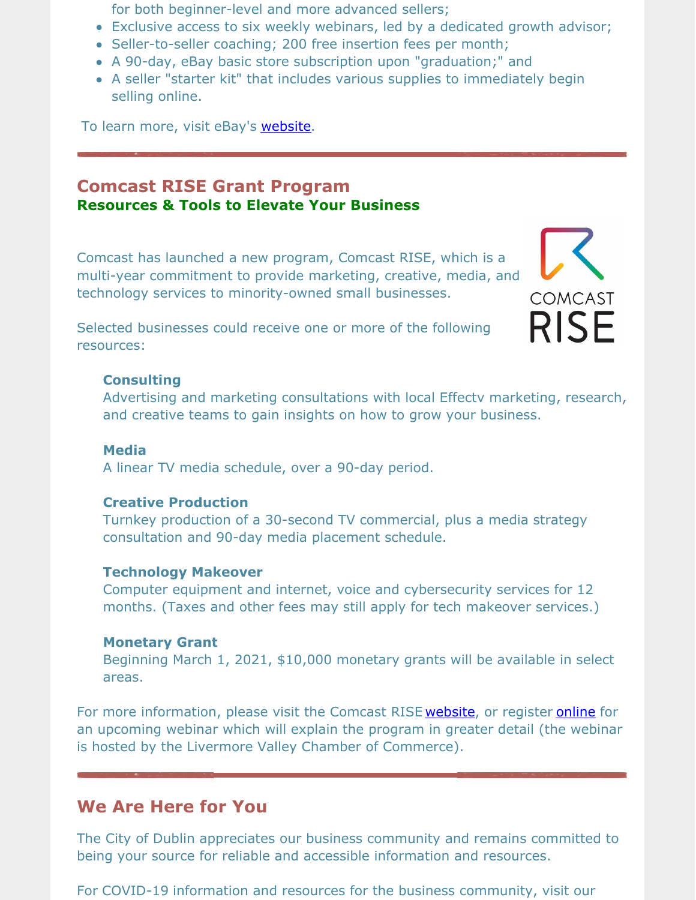for both beginner-level and more advanced sellers;

- Exclusive access to six weekly webinars, led by a dedicated growth advisor;
- Seller-to-seller coaching; 200 free insertion fees per month;
- A 90-day, eBay basic store subscription upon "graduation;" and
- A seller "starter kit" that includes various supplies to immediately begin selling online.

To learn more, visit eBay's [website](http://r20.rs6.net/tn.jsp?f=00118yROVJaOJwt-V5upSt1leMsjwQJsd06yTYHyLuDpw5F5yaZmR0tv-fKXNAPsSDMVr2Rjn_ByaEOd0B2ldnc8M_Q8myli0KqqT1EYQuGuCu9PKPykGZgMa56mHgmqgmFi6JBkbJcgHTxSG3zM-UWfAT7FOjmRb_h2QVsWEf_B_5wyvPwCbnj5Jiu00fnLqj93SU_lHSvCGE=&c=&ch=).

## **Comcast RISE Grant Program Resources & Tools to Elevate Your Business**

Comcast has launched a new program, Comcast RISE, which is a multi-year commitment to provide marketing, creative, media, and technology services to minority-owned small businesses.



Selected businesses could receive one or more of the following resources:

#### **Consulting**

Advertising and marketing consultations with local Effectv marketing, research, and creative teams to gain insights on how to grow your business.

#### **Media**

A linear TV media schedule, over a 90-day period.

#### **Creative Production**

Turnkey production of a 30-second TV commercial, plus a media strategy consultation and 90-day media placement schedule.

#### **Technology Makeover**

Computer equipment and internet, voice and cybersecurity services for 12 months. (Taxes and other fees may still apply for tech makeover services.)

#### **Monetary Grant**

Beginning March 1, 2021, \$10,000 monetary grants will be available in select areas.

For more information, please visit the Comcast RISE [website](http://r20.rs6.net/tn.jsp?f=00118yROVJaOJwt-V5upSt1leMsjwQJsd06yTYHyLuDpw5F5yaZmR0tv-fKXNAPsSDMpLWsEhIIWb38SeuYzopgu6WRFlyVtnqL2a_XiNEAwVry1OjHyzSqmBi85jBSRYccQ1s8hdsmx5daedcOiKvwrSwDMdNWqhBqnkii5Ob_HqqXIaihjk8oMQ==&c=&ch=), or register [online](http://r20.rs6.net/tn.jsp?f=00118yROVJaOJwt-V5upSt1leMsjwQJsd06yTYHyLuDpw5F5yaZmR0tv-fKXNAPsSDMM5G6FSb272MUZi2dSo9vUnx0r9x5MIaa-Hbo0jV9DQiKGKh_bxwUEBB0uUysx_DInrxnuNc-vwVcFrod12zURVSYCZpv57OxQoILft7y5ZN6lP_uYNhOnO_Q0EU00Ka8OEBdFCJsNCsyFuQfcy_DcZrkIrKvrTJN8aoVp_TdzYhhzF3wV2Gs8-ECE08nNNqHEUoSAaz6PiE=&c=&ch=) for an upcoming webinar which will explain the program in greater detail (the webinar is hosted by the Livermore Valley Chamber of Commerce).

### **We Are Here for You**

The City of Dublin appreciates our business community and remains committed to being your source for reliable and accessible information and resources.

For COVID-19 information and resources for the business community, visit our